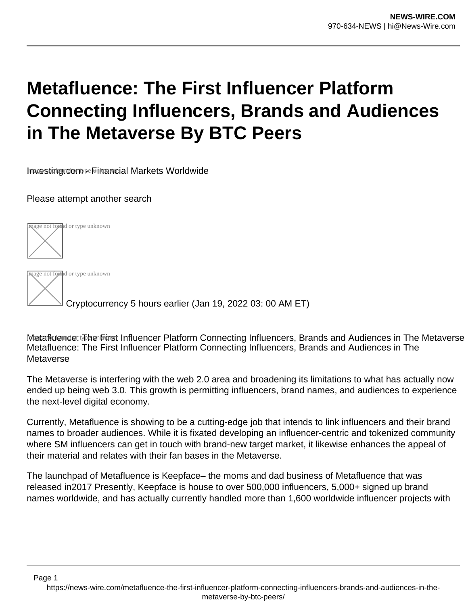# **Metafluence: The First Influencer Platform Connecting Influencers, Brands and Audiences in The Metaverse By BTC Peers**

Investing.com - Financial Markets Worldwide

Please attempt another search



age not found or type unknown

Page 1

Cryptocurrency 5 hours earlier (Jan 19, 2022 03: 00 AM ET)

Metafluence: The First Influencer Platform Connecting Influencers, Brands and Audiences in The Metaverse Metafluence: The First Influencer Platform Connecting Influencers, Brands and Audiences in The Metaverse

The Metaverse is interfering with the web 2.0 area and broadening its limitations to what has actually now ended up being web 3.0. This growth is permitting influencers, brand names, and audiences to experience the next-level digital economy.

Currently, Metafluence is showing to be a cutting-edge job that intends to link influencers and their brand names to broader audiences. While it is fixated developing an influencer-centric and tokenized community where SM influencers can get in touch with brand-new target market, it likewise enhances the appeal of their material and relates with their fan bases in the Metaverse.

The launchpad of Metafluence is Keepface– the moms and dad business of Metafluence that was released in2017 Presently, Keepface is house to over 500,000 influencers, 5,000+ signed up brand names worldwide, and has actually currently handled more than 1,600 worldwide influencer projects with

https://news-wire.com/metafluence-the-first-influencer-platform-connecting-influencers-brands-and-audiences-in-themetaverse-by-btc-peers/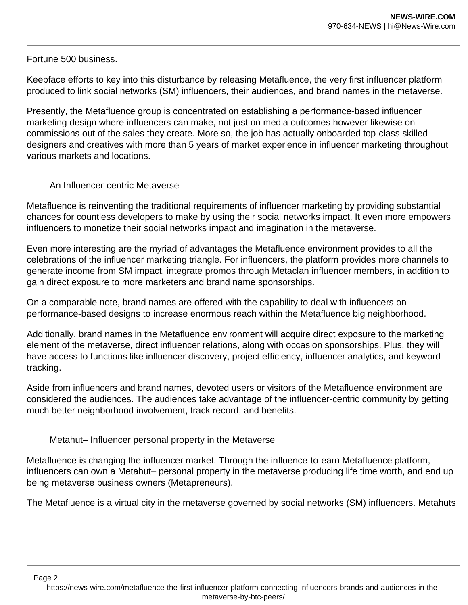### Fortune 500 business.

Page 2

Keepface efforts to key into this disturbance by releasing Metafluence, the very first influencer platform produced to link social networks (SM) influencers, their audiences, and brand names in the metaverse.

Presently, the Metafluence group is concentrated on establishing a performance-based influencer marketing design where influencers can make, not just on media outcomes however likewise on commissions out of the sales they create. More so, the job has actually onboarded top-class skilled designers and creatives with more than 5 years of market experience in influencer marketing throughout various markets and locations.

## An Influencer-centric Metaverse

Metafluence is reinventing the traditional requirements of influencer marketing by providing substantial chances for countless developers to make by using their social networks impact. It even more empowers influencers to monetize their social networks impact and imagination in the metaverse.

Even more interesting are the myriad of advantages the Metafluence environment provides to all the celebrations of the influencer marketing triangle. For influencers, the platform provides more channels to generate income from SM impact, integrate promos through Metaclan influencer members, in addition to gain direct exposure to more marketers and brand name sponsorships.

On a comparable note, brand names are offered with the capability to deal with influencers on performance-based designs to increase enormous reach within the Metafluence big neighborhood.

Additionally, brand names in the Metafluence environment will acquire direct exposure to the marketing element of the metaverse, direct influencer relations, along with occasion sponsorships. Plus, they will have access to functions like influencer discovery, project efficiency, influencer analytics, and keyword tracking.

Aside from influencers and brand names, devoted users or visitors of the Metafluence environment are considered the audiences. The audiences take advantage of the influencer-centric community by getting much better neighborhood involvement, track record, and benefits.

Metahut– Influencer personal property in the Metaverse

Metafluence is changing the influencer market. Through the influence-to-earn Metafluence platform, influencers can own a Metahut– personal property in the metaverse producing life time worth, and end up being metaverse business owners (Metapreneurs).

The Metafluence is a virtual city in the metaverse governed by social networks (SM) influencers. Metahuts

https://news-wire.com/metafluence-the-first-influencer-platform-connecting-influencers-brands-and-audiences-in-themetaverse-by-btc-peers/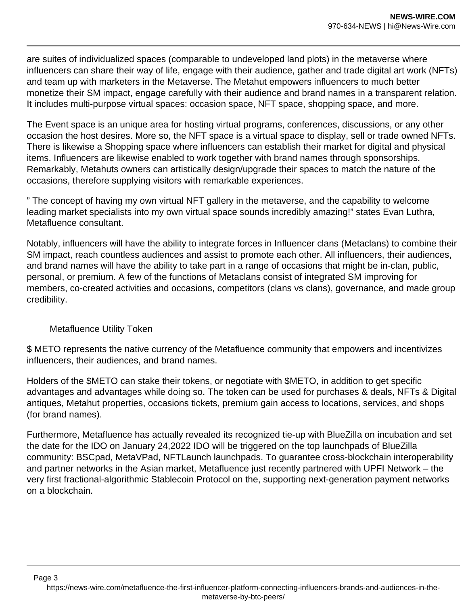are suites of individualized spaces (comparable to undeveloped land plots) in the metaverse where influencers can share their way of life, engage with their audience, gather and trade digital art work (NFTs) and team up with marketers in the Metaverse. The Metahut empowers influencers to much better monetize their SM impact, engage carefully with their audience and brand names in a transparent relation. It includes multi-purpose virtual spaces: occasion space, NFT space, shopping space, and more.

The Event space is an unique area for hosting virtual programs, conferences, discussions, or any other occasion the host desires. More so, the NFT space is a virtual space to display, sell or trade owned NFTs. There is likewise a Shopping space where influencers can establish their market for digital and physical items. Influencers are likewise enabled to work together with brand names through sponsorships. Remarkably, Metahuts owners can artistically design/upgrade their spaces to match the nature of the occasions, therefore supplying visitors with remarkable experiences.

" The concept of having my own virtual NFT gallery in the metaverse, and the capability to welcome leading market specialists into my own virtual space sounds incredibly amazing!" states Evan Luthra, Metafluence consultant.

Notably, influencers will have the ability to integrate forces in Influencer clans (Metaclans) to combine their SM impact, reach countless audiences and assist to promote each other. All influencers, their audiences, and brand names will have the ability to take part in a range of occasions that might be in-clan, public, personal, or premium. A few of the functions of Metaclans consist of integrated SM improving for members, co-created activities and occasions, competitors (clans vs clans), governance, and made group credibility.

#### Metafluence Utility Token

\$ METO represents the native currency of the Metafluence community that empowers and incentivizes influencers, their audiences, and brand names.

Holders of the \$METO can stake their tokens, or negotiate with \$METO, in addition to get specific advantages and advantages while doing so. The token can be used for purchases & deals, NFTs & Digital antiques, Metahut properties, occasions tickets, premium gain access to locations, services, and shops (for brand names).

Furthermore, Metafluence has actually revealed its recognized tie-up with BlueZilla on incubation and set the date for the IDO on January 24,2022 IDO will be triggered on the top launchpads of BlueZilla community: BSCpad, MetaVPad, NFTLaunch launchpads. To guarantee cross-blockchain interoperability and partner networks in the Asian market, Metafluence just recently partnered with UPFI Network – the very first fractional-algorithmic Stablecoin Protocol on the, supporting next-generation payment networks on a blockchain.